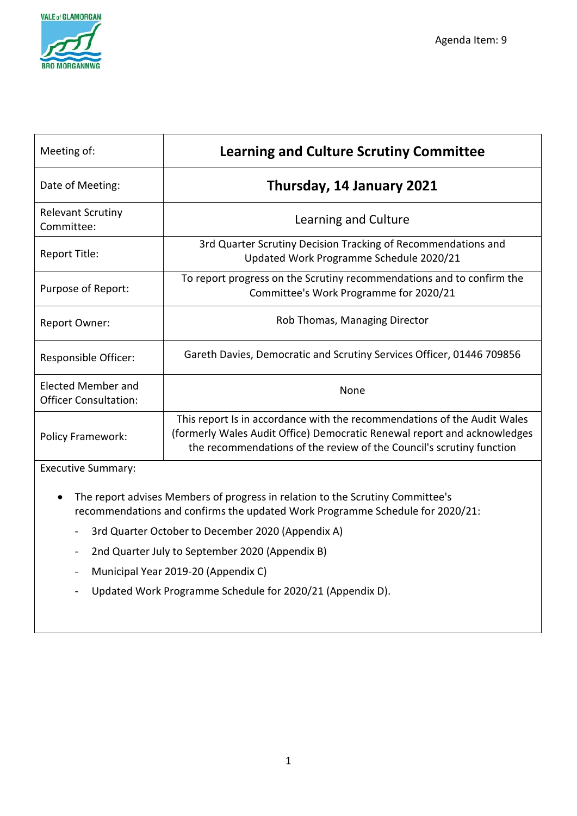

| Meeting of:                                               | <b>Learning and Culture Scrutiny Committee</b>                                                                                                                                                                               |
|-----------------------------------------------------------|------------------------------------------------------------------------------------------------------------------------------------------------------------------------------------------------------------------------------|
| Date of Meeting:                                          | Thursday, 14 January 2021                                                                                                                                                                                                    |
| <b>Relevant Scrutiny</b><br>Committee:                    | Learning and Culture                                                                                                                                                                                                         |
| Report Title:                                             | 3rd Quarter Scrutiny Decision Tracking of Recommendations and<br>Updated Work Programme Schedule 2020/21                                                                                                                     |
| Purpose of Report:                                        | To report progress on the Scrutiny recommendations and to confirm the<br>Committee's Work Programme for 2020/21                                                                                                              |
| Report Owner:                                             | Rob Thomas, Managing Director                                                                                                                                                                                                |
| Responsible Officer:                                      | Gareth Davies, Democratic and Scrutiny Services Officer, 01446 709856                                                                                                                                                        |
| <b>Elected Member and</b><br><b>Officer Consultation:</b> | <b>None</b>                                                                                                                                                                                                                  |
| <b>Policy Framework:</b>                                  | This report Is in accordance with the recommendations of the Audit Wales<br>(formerly Wales Audit Office) Democratic Renewal report and acknowledges<br>the recommendations of the review of the Council's scrutiny function |

Executive Summary:

- The report advises Members of progress in relation to the Scrutiny Committee's recommendations and confirms the updated Work Programme Schedule for 2020/21:
	- 3rd Quarter October to December 2020 (Appendix A)
	- 2nd Quarter July to September 2020 (Appendix B)
	- Municipal Year 2019-20 (Appendix C)
	- Updated Work Programme Schedule for 2020/21 (Appendix D).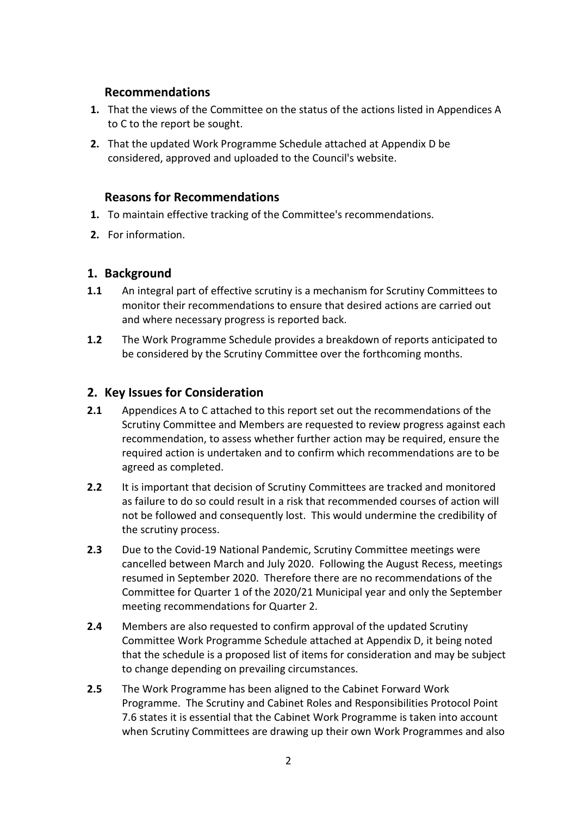#### **Recommendations**

- **1.** That the views of the Committee on the status of the actions listed in Appendices A to C to the report be sought.
- **2.** That the updated Work Programme Schedule attached at Appendix D be considered, approved and uploaded to the Council's website.

#### **Reasons for Recommendations**

- **1.** To maintain effective tracking of the Committee's recommendations.
- **2.** For information.

#### **1. Background**

- **1.1** An integral part of effective scrutiny is a mechanism for Scrutiny Committees to monitor their recommendations to ensure that desired actions are carried out and where necessary progress is reported back.
- **1.2** The Work Programme Schedule provides a breakdown of reports anticipated to be considered by the Scrutiny Committee over the forthcoming months.

#### **2. Key Issues for Consideration**

- **2.1** Appendices A to C attached to this report set out the recommendations of the Scrutiny Committee and Members are requested to review progress against each recommendation, to assess whether further action may be required, ensure the required action is undertaken and to confirm which recommendations are to be agreed as completed.
- **2.2** It is important that decision of Scrutiny Committees are tracked and monitored as failure to do so could result in a risk that recommended courses of action will not be followed and consequently lost. This would undermine the credibility of the scrutiny process.
- **2.3** Due to the Covid-19 National Pandemic, Scrutiny Committee meetings were cancelled between March and July 2020. Following the August Recess, meetings resumed in September 2020. Therefore there are no recommendations of the Committee for Quarter 1 of the 2020/21 Municipal year and only the September meeting recommendations for Quarter 2.
- **2.4** Members are also requested to confirm approval of the updated Scrutiny Committee Work Programme Schedule attached at Appendix D, it being noted that the schedule is a proposed list of items for consideration and may be subject to change depending on prevailing circumstances.
- **2.5** The Work Programme has been aligned to the Cabinet Forward Work Programme. The Scrutiny and Cabinet Roles and Responsibilities Protocol Point 7.6 states it is essential that the Cabinet Work Programme is taken into account when Scrutiny Committees are drawing up their own Work Programmes and also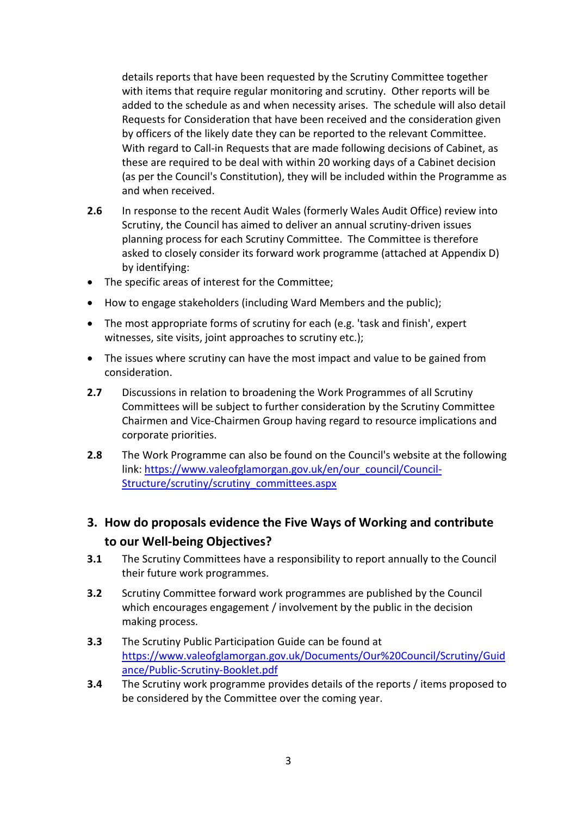details reports that have been requested by the Scrutiny Committee together with items that require regular monitoring and scrutiny. Other reports will be added to the schedule as and when necessity arises. The schedule will also detail Requests for Consideration that have been received and the consideration given by officers of the likely date they can be reported to the relevant Committee. With regard to Call-in Requests that are made following decisions of Cabinet, as these are required to be deal with within 20 working days of a Cabinet decision (as per the Council's Constitution), they will be included within the Programme as and when received.

- **2.6** In response to the recent Audit Wales (formerly Wales Audit Office) review into Scrutiny, the Council has aimed to deliver an annual scrutiny-driven issues planning process for each Scrutiny Committee. The Committee is therefore asked to closely consider its forward work programme (attached at Appendix D) by identifying:
- The specific areas of interest for the Committee;
- How to engage stakeholders (including Ward Members and the public);
- The most appropriate forms of scrutiny for each (e.g. 'task and finish', expert witnesses, site visits, joint approaches to scrutiny etc.);
- The issues where scrutiny can have the most impact and value to be gained from consideration.
- **2.7** Discussions in relation to broadening the Work Programmes of all Scrutiny Committees will be subject to further consideration by the Scrutiny Committee Chairmen and Vice-Chairmen Group having regard to resource implications and corporate priorities.
- **2.8** The Work Programme can also be found on the Council's website at the following link: [https://www.valeofglamorgan.gov.uk/en/our\\_council/Council-](https://www.valeofglamorgan.gov.uk/en/our_council/Council-Structure/scrutiny/scrutiny_committees.aspx)[Structure/scrutiny/scrutiny\\_committees.aspx](https://www.valeofglamorgan.gov.uk/en/our_council/Council-Structure/scrutiny/scrutiny_committees.aspx)

### **3. How do proposals evidence the Five Ways of Working and contribute to our Well-being Objectives?**

- **3.1** The Scrutiny Committees have a responsibility to report annually to the Council their future work programmes.
- **3.2** Scrutiny Committee forward work programmes are published by the Council which encourages engagement / involvement by the public in the decision making process.
- **3.3** The Scrutiny Public Participation Guide can be found at [https://www.valeofglamorgan.gov.uk/Documents/Our%20Council/Scrutiny/Guid](https://www.valeofglamorgan.gov.uk/Documents/Our%20Council/Scrutiny/Guidance/Public-Scrutiny-Booklet.pdf) [ance/Public-Scrutiny-Booklet.pdf](https://www.valeofglamorgan.gov.uk/Documents/Our%20Council/Scrutiny/Guidance/Public-Scrutiny-Booklet.pdf)
- **3.4** The Scrutiny work programme provides details of the reports / items proposed to be considered by the Committee over the coming year.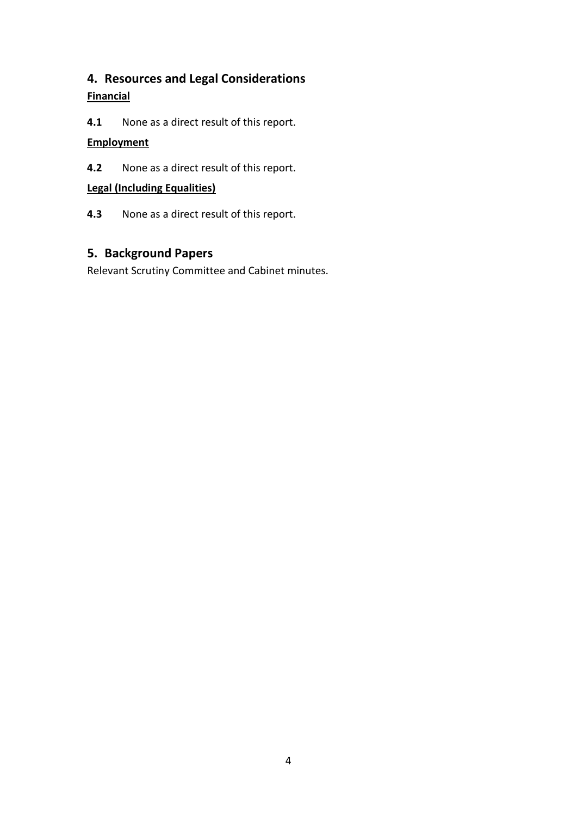## **4. Resources and Legal Considerations Financial**

**4.1** None as a direct result of this report.

#### **Employment**

**4.2** None as a direct result of this report.

#### **Legal (Including Equalities)**

**4.3** None as a direct result of this report.

### **5. Background Papers**

Relevant Scrutiny Committee and Cabinet minutes.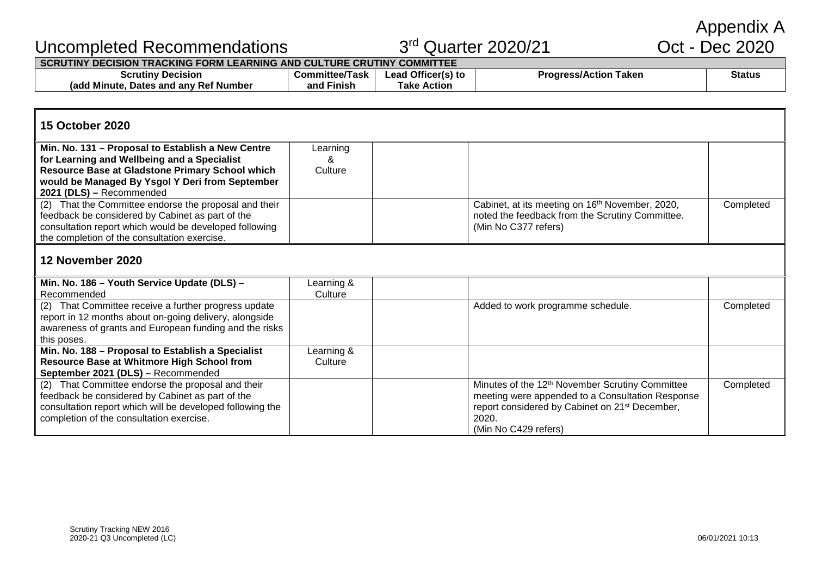Appendix A<br>Oct - Dec 2020

| Uncompleted Recommendations                                            | 3 <sup>rd</sup> Quarter 2020/21 | Oct - Dec 2020     |                              |               |  |
|------------------------------------------------------------------------|---------------------------------|--------------------|------------------------------|---------------|--|
| SCRUTINY DECISION TRACKING FORM LEARNING AND CULTURE CRUTINY COMMITTEE |                                 |                    |                              |               |  |
| <b>Scrutiny Decision</b>                                               | <b>Committee/Task</b>           | Lead Officer(s) to | <b>Progress/Action Taken</b> | <b>Status</b> |  |
| (add Minute, Dates and any Ref Number)                                 | and Finish                      | <b>Take Action</b> |                              |               |  |

#### **15 October 2020**

| Min. No. 131 – Proposal to Establish a New Centre      | Learning |                                                             |           |
|--------------------------------------------------------|----------|-------------------------------------------------------------|-----------|
| for Learning and Wellbeing and a Specialist            |          |                                                             |           |
| Resource Base at Gladstone Primary School which        | Culture  |                                                             |           |
| would be Managed By Ysgol Y Deri from September        |          |                                                             |           |
| 2021 (DLS) - Recommended                               |          |                                                             |           |
| (2) That the Committee endorse the proposal and their  |          | Cabinet, at its meeting on 16 <sup>th</sup> November, 2020, | Completed |
| feedback be considered by Cabinet as part of the       |          | noted the feedback from the Scrutiny Committee.             |           |
| consultation report which would be developed following |          | (Min No C377 refers)                                        |           |
| the completion of the consultation exercise.           |          |                                                             |           |
|                                                        |          |                                                             |           |

#### **12 November 2020**

| Min. No. 186 - Youth Service Update (DLS) -               | Learning & |                                                             |           |
|-----------------------------------------------------------|------------|-------------------------------------------------------------|-----------|
| Recommended                                               | Culture    |                                                             |           |
| (2) That Committee receive a further progress update      |            | Added to work programme schedule.                           | Completed |
| report in 12 months about on-going delivery, alongside    |            |                                                             |           |
| awareness of grants and European funding and the risks    |            |                                                             |           |
| this poses.                                               |            |                                                             |           |
| Min. No. 188 - Proposal to Establish a Specialist         | Learning & |                                                             |           |
| Resource Base at Whitmore High School from                | Culture    |                                                             |           |
| September 2021 (DLS) - Recommended                        |            |                                                             |           |
| (2) That Committee endorse the proposal and their         |            | Minutes of the 12 <sup>th</sup> November Scrutiny Committee | Completed |
| feedback be considered by Cabinet as part of the          |            | meeting were appended to a Consultation Response            |           |
| consultation report which will be developed following the |            | report considered by Cabinet on 21 <sup>st</sup> December,  |           |
| completion of the consultation exercise.                  |            | 2020.                                                       |           |
|                                                           |            | (Min No C429 refers)                                        |           |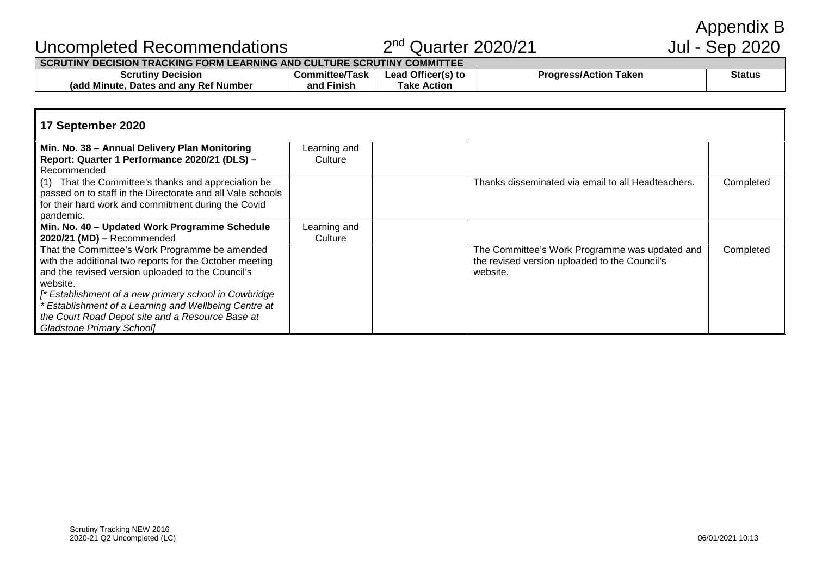Appendix B<br>Jul - Sep 2020

## Uncompleted Recommendations 2<sup>nd</sup> Quarter 2020/21

#### **SCRUTINY DECISION TRACKING FORM LEARNING AND CULTURE SCRUTINY COMMITTEE**

| _____________________                                          |                              |                                          |                                          |        |  |  |  |  |
|----------------------------------------------------------------|------------------------------|------------------------------------------|------------------------------------------|--------|--|--|--|--|
| scrutinv<br><b>Decision</b>                                    | `ommittee.<br>-22<br>1 8 S K | <b>Officeris</b><br>.eac<br><b>PULLE</b> | 'aken<br><b>Progracci</b><br>ress/Action | Status |  |  |  |  |
| ∕ Ref Number<br>. anv<br>Minute<br><b>Dates</b><br>and<br>(adc | .<br>anc<br>Finish           | Actior<br>l ake                          |                                          |        |  |  |  |  |
|                                                                |                              |                                          |                                          |        |  |  |  |  |

#### **17 September 2020 Min. No. 38 – Annual Delivery Plan Monitoring Report: Quarter 1 Performance 2020/21 (DLS) –** Recommended Learning and **Culture** (1) That the Committee's thanks and appreciation be passed on to staff in the Directorate and all Vale schools for their hard work and commitment during the Covid pandemic. Thanks disseminated via email to all Headteachers. Completed **Min. No. 40 – Updated Work Programme Schedule 2020/21 (MD) –** Recommended Learning and **Culture** That the Committee's Work Programme be amended with the additional two reports for the October meeting and the revised version uploaded to the Council's website. *[\* Establishment of a new primary school in Cowbridge \* Establishment of a Learning and Wellbeing Centre at the Court Road Depot site and a Resource Base at Gladstone Primary School]* The Committee's Work Programme was updated and the revised version uploaded to the Council's website. Completed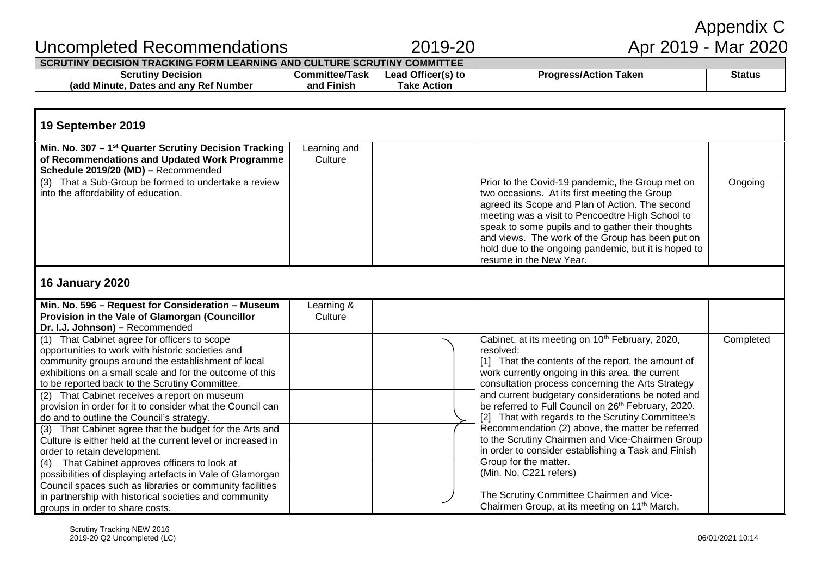# Appendix C<br>Apr 2019 - Mar 2020

## Uncompleted Recommendations 2019-20 Apr 2019 - Mar 2020

#### **SCRUTINY DECISION TRACKING FORM LEARNING AND CULTURE SCRUTINY COMMITTEE**

| Decision<br>Scrutiny                            | ∴om<br>॥ttee/Task<br>umittee. | u Offi<br>ricer(s) tr<br>.eac<br>IS) IO | Taken<br><b>Progress</b><br>ress/Action | Status |
|-------------------------------------------------|-------------------------------|-----------------------------------------|-----------------------------------------|--------|
| and anv Ref Number ہ<br>Minute<br>Dates<br>rado | .<br>and<br>⊦ınısh            | <b>Action</b><br>Гаke                   |                                         |        |

#### **19 September 2019**

| Min. No. 307 – 1 <sup>st</sup> Quarter Scrutiny Decision Tracking<br>of Recommendations and Updated Work Programme<br>Schedule 2019/20 (MD) - Recommended | Learning and<br>Culture |                                                                                                                                                                                                                                              |         |
|-----------------------------------------------------------------------------------------------------------------------------------------------------------|-------------------------|----------------------------------------------------------------------------------------------------------------------------------------------------------------------------------------------------------------------------------------------|---------|
| (3) That a Sub-Group be formed to undertake a review<br>into the affordability of education.                                                              |                         | Prior to the Covid-19 pandemic, the Group met on<br>two occasions. At its first meeting the Group<br>agreed its Scope and Plan of Action. The second                                                                                         | Ongoing |
|                                                                                                                                                           |                         | meeting was a visit to Pencoedtre High School to<br>speak to some pupils and to gather their thoughts<br>and views. The work of the Group has been put on<br>hold due to the ongoing pandemic, but it is hoped to<br>resume in the New Year. |         |

#### **16 January 2020**

| Min. No. 596 - Request for Consideration - Museum           | Learning & |                                                                    |           |
|-------------------------------------------------------------|------------|--------------------------------------------------------------------|-----------|
| Provision in the Vale of Glamorgan (Councillor              | Culture    |                                                                    |           |
| Dr. I.J. Johnson) - Recommended                             |            |                                                                    |           |
| (1) That Cabinet agree for officers to scope                |            | Cabinet, at its meeting on 10 <sup>th</sup> February, 2020,        | Completed |
| opportunities to work with historic societies and           |            | resolved:                                                          |           |
| community groups around the establishment of local          |            | [1] That the contents of the report, the amount of                 |           |
| exhibitions on a small scale and for the outcome of this    |            | work currently ongoing in this area, the current                   |           |
| to be reported back to the Scrutiny Committee.              |            | consultation process concerning the Arts Strategy                  |           |
| (2) That Cabinet receives a report on museum                |            | and current budgetary considerations be noted and                  |           |
| provision in order for it to consider what the Council can  |            | be referred to Full Council on 26th February, 2020.                |           |
| do and to outline the Council's strategy.                   |            | That with regards to the Scrutiny Committee's<br>$\lceil 2 \rceil$ |           |
| (3) That Cabinet agree that the budget for the Arts and     |            | Recommendation (2) above, the matter be referred                   |           |
| Culture is either held at the current level or increased in |            | to the Scrutiny Chairmen and Vice-Chairmen Group                   |           |
| order to retain development.                                |            | in order to consider establishing a Task and Finish                |           |
| That Cabinet approves officers to look at<br>(4)            |            | Group for the matter.                                              |           |
| possibilities of displaying artefacts in Vale of Glamorgan  |            | (Min. No. C221 refers)                                             |           |
| Council spaces such as libraries or community facilities    |            |                                                                    |           |
| in partnership with historical societies and community      |            | The Scrutiny Committee Chairmen and Vice-                          |           |
| groups in order to share costs.                             |            | Chairmen Group, at its meeting on 11 <sup>th</sup> March,          |           |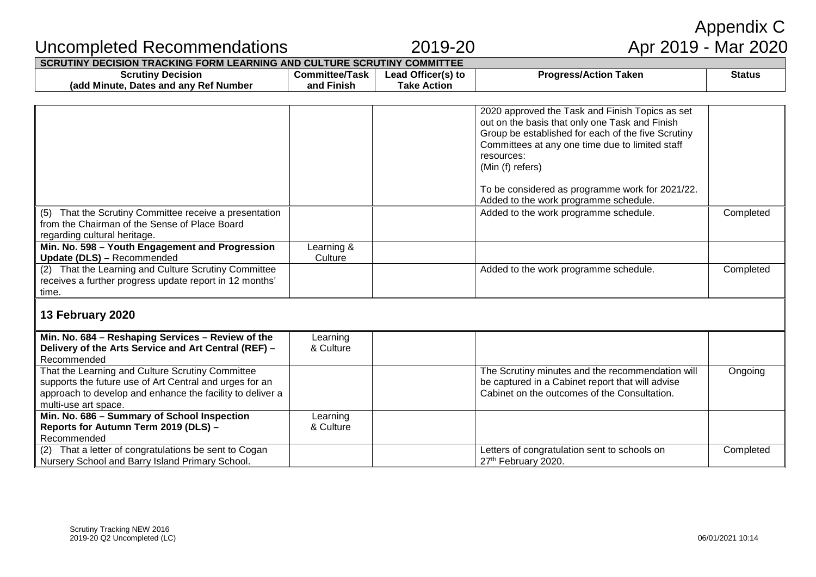|                                                                                                                                                                                                  |                                     |                                          |                                                                                                                                                                                                                                                                                                                                          | Appendix C    |
|--------------------------------------------------------------------------------------------------------------------------------------------------------------------------------------------------|-------------------------------------|------------------------------------------|------------------------------------------------------------------------------------------------------------------------------------------------------------------------------------------------------------------------------------------------------------------------------------------------------------------------------------------|---------------|
| Uncompleted Recommendations                                                                                                                                                                      |                                     | 2019-20                                  | Apr 2019 - Mar 2020                                                                                                                                                                                                                                                                                                                      |               |
| SCRUTINY DECISION TRACKING FORM LEARNING AND CULTURE SCRUTINY COMMITTEE                                                                                                                          |                                     |                                          |                                                                                                                                                                                                                                                                                                                                          |               |
| <b>Scrutiny Decision</b><br>(add Minute, Dates and any Ref Number                                                                                                                                | <b>Committee/Task</b><br>and Finish | Lead Officer(s) to<br><b>Take Action</b> | <b>Progress/Action Taken</b>                                                                                                                                                                                                                                                                                                             | <b>Status</b> |
|                                                                                                                                                                                                  |                                     |                                          | 2020 approved the Task and Finish Topics as set<br>out on the basis that only one Task and Finish<br>Group be established for each of the five Scrutiny<br>Committees at any one time due to limited staff<br>resources:<br>(Min (f) refers)<br>To be considered as programme work for 2021/22.<br>Added to the work programme schedule. |               |
| That the Scrutiny Committee receive a presentation<br>from the Chairman of the Sense of Place Board<br>regarding cultural heritage.                                                              |                                     |                                          | Added to the work programme schedule.                                                                                                                                                                                                                                                                                                    | Completed     |
| Min. No. 598 - Youth Engagement and Progression<br><b>Update (DLS)</b> - Recommended                                                                                                             | Learning &<br>Culture               |                                          |                                                                                                                                                                                                                                                                                                                                          |               |
| (2) That the Learning and Culture Scrutiny Committee<br>receives a further progress update report in 12 months'<br>time.                                                                         |                                     |                                          | Added to the work programme schedule.                                                                                                                                                                                                                                                                                                    | Completed     |
| 13 February 2020                                                                                                                                                                                 |                                     |                                          |                                                                                                                                                                                                                                                                                                                                          |               |
| Min. No. 684 - Reshaping Services - Review of the<br>Delivery of the Arts Service and Art Central (REF) -<br>Recommended                                                                         | Learning<br>& Culture               |                                          |                                                                                                                                                                                                                                                                                                                                          |               |
| That the Learning and Culture Scrutiny Committee<br>supports the future use of Art Central and urges for an<br>approach to develop and enhance the facility to deliver a<br>multi-use art space. |                                     |                                          | The Scrutiny minutes and the recommendation will<br>be captured in a Cabinet report that will advise<br>Cabinet on the outcomes of the Consultation.                                                                                                                                                                                     | Ongoing       |
| Min. No. 686 - Summary of School Inspection<br>Reports for Autumn Term 2019 (DLS) -<br>Recommended                                                                                               | Learning<br>& Culture               |                                          |                                                                                                                                                                                                                                                                                                                                          |               |
| (2) That a letter of congratulations be sent to Cogan<br>Nursery School and Barry Island Primary School.                                                                                         |                                     |                                          | Letters of congratulation sent to schools on<br>27th February 2020.                                                                                                                                                                                                                                                                      | Completed     |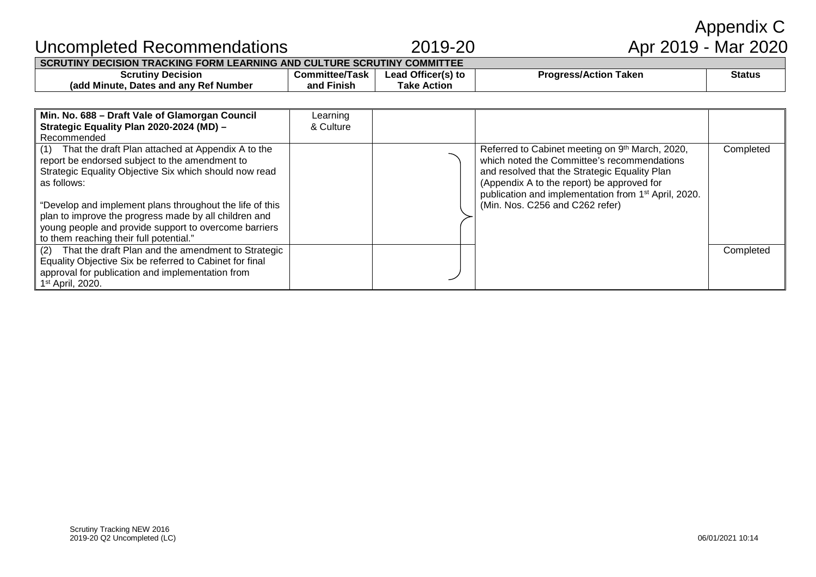| That the draft Plan and the amendment to Strategic<br>(2)<br>Equality Objective Six be referred to Cabinet for final<br>approval for publication and implementation from<br>1 <sup>st</sup> April, 2020. | young people and provide support to overcome barriers<br>to them reaching their full potential." |  |  |
|----------------------------------------------------------------------------------------------------------------------------------------------------------------------------------------------------------|--------------------------------------------------------------------------------------------------|--|--|
|                                                                                                                                                                                                          |                                                                                                  |  |  |

**Committee/Task and Finish**

> Learning & Culture

**SCRUTINY DECISION TRACKING FORM LEARNING AND CULTURE SCRUTINY COMMITTEE**

## Uncompleted Recommendations 2019-20

**Scrutiny Decision (add Minute, Dates and any Ref Number**

**Min. No. 688 – Draft Vale of Glamorgan Council Strategic Equality Plan 2020-2024 (MD) –**

(1) That the draft Plan attached at Appendix A to the report be endorsed subject to the amendment to Strategic Equality Objective Six which should now read

"Develop and implement plans throughout the life of this plan to improve the progress made by all children and

Recommended

as follows:

**Lead Officer(s) to Take Action**

# Appendix C<br>Apr 2019 - Mar 2020

**Completed** 

Completed

**Progress/Action Taken Status** 

Referred to Cabinet meeting on 9<sup>th</sup> March, 2020, which noted the Committee's recommendations and resolved that the Strategic Equality Plan (Appendix A to the report) be approved for

publication and implementation from 1st April, 2020.

(Min. Nos. C256 and C262 refer)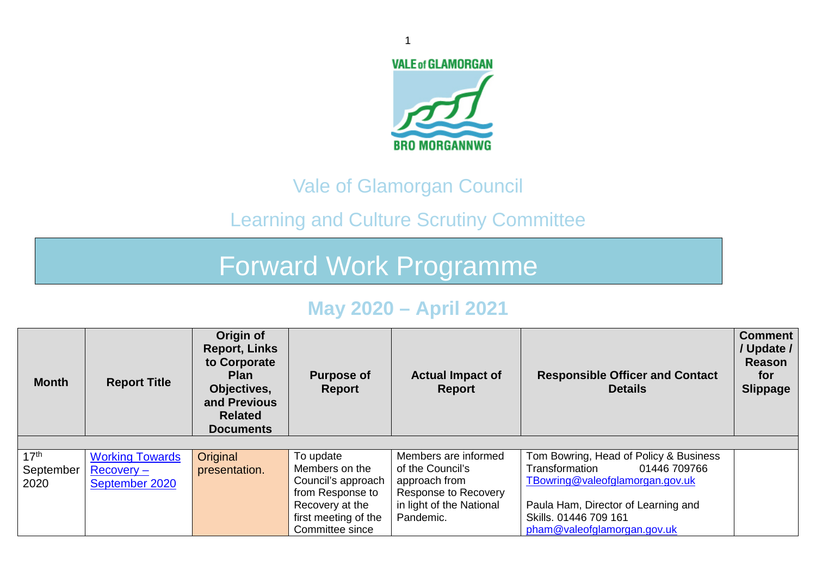

## Vale of Glamorgan Council

# Learning and Culture Scrutiny Committee

# Forward Work Programme

## **May 2020 – April 2021**

| <b>Month</b>                          | <b>Report Title</b>                                      | Origin of<br><b>Report, Links</b><br>to Corporate<br><b>Plan</b><br>Objectives,<br>and Previous<br><b>Related</b><br><b>Documents</b> | <b>Purpose of</b><br>Report                                                                                                         | <b>Actual Impact of</b><br><b>Report</b>                                                                                   | <b>Responsible Officer and Contact</b><br><b>Details</b>                                                                                                                                                   | Comment<br>Update /<br>Reason<br>for<br><b>Slippage</b> |
|---------------------------------------|----------------------------------------------------------|---------------------------------------------------------------------------------------------------------------------------------------|-------------------------------------------------------------------------------------------------------------------------------------|----------------------------------------------------------------------------------------------------------------------------|------------------------------------------------------------------------------------------------------------------------------------------------------------------------------------------------------------|---------------------------------------------------------|
| 17 <sup>th</sup><br>September<br>2020 | <b>Working Towards</b><br>$Recovery -$<br>September 2020 | Original<br>presentation.                                                                                                             | To update<br>Members on the<br>Council's approach<br>from Response to<br>Recovery at the<br>first meeting of the<br>Committee since | Members are informed<br>of the Council's<br>approach from<br>Response to Recovery<br>in light of the National<br>Pandemic. | Tom Bowring, Head of Policy & Business<br>Transformation<br>01446 709766<br>TBowring@valeofglamorgan.gov.uk<br>Paula Ham, Director of Learning and<br>Skills. 01446 709 161<br>pham@valeofglamorgan.gov.uk |                                                         |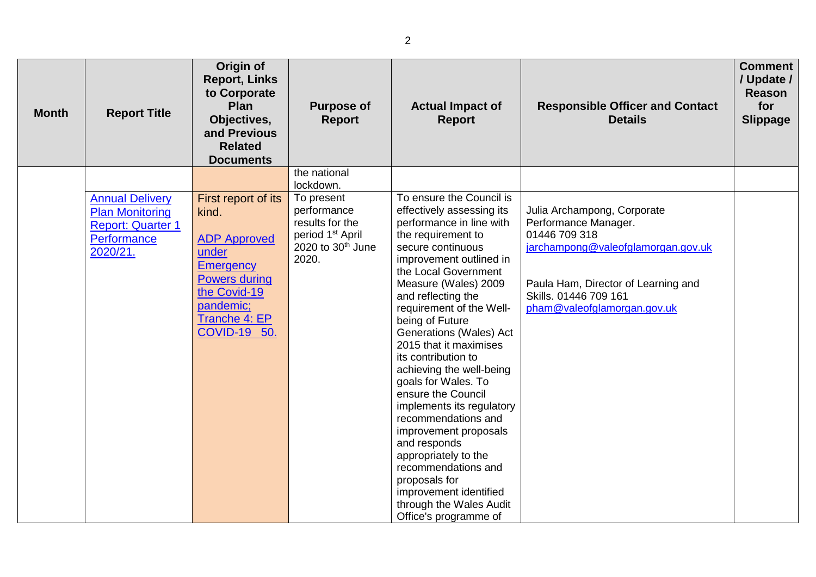| <b>Month</b> | <b>Report Title</b>                                                                                     | Origin of<br><b>Report, Links</b><br>to Corporate<br><b>Plan</b><br>Objectives,<br>and Previous<br><b>Related</b><br><b>Documents</b>                                         | <b>Purpose of</b><br><b>Report</b><br>the national                                                                                  | <b>Actual Impact of</b><br><b>Report</b>                                                                                                                                                                                                                                                                                                                                                                                          | <b>Responsible Officer and Contact</b><br><b>Details</b>                                                                                                                                                  | <b>Comment</b><br>/ Update /<br><b>Reason</b><br>for<br><b>Slippage</b> |
|--------------|---------------------------------------------------------------------------------------------------------|-------------------------------------------------------------------------------------------------------------------------------------------------------------------------------|-------------------------------------------------------------------------------------------------------------------------------------|-----------------------------------------------------------------------------------------------------------------------------------------------------------------------------------------------------------------------------------------------------------------------------------------------------------------------------------------------------------------------------------------------------------------------------------|-----------------------------------------------------------------------------------------------------------------------------------------------------------------------------------------------------------|-------------------------------------------------------------------------|
|              | <b>Annual Delivery</b><br><b>Plan Monitoring</b><br><b>Report: Quarter 1</b><br>Performance<br>2020/21. | First report of its<br>kind.<br><b>ADP Approved</b><br>under<br><b>Emergency</b><br><b>Powers during</b><br>the Covid-19<br>pandemic;<br>Tranche 4: EP<br><b>COVID-19 50.</b> | lockdown.<br>To present<br>performance<br>results for the<br>period 1 <sup>st</sup> April<br>2020 to 30 <sup>th</sup> June<br>2020. | To ensure the Council is<br>effectively assessing its<br>performance in line with<br>the requirement to<br>secure continuous<br>improvement outlined in<br>the Local Government<br>Measure (Wales) 2009<br>and reflecting the<br>requirement of the Well-<br>being of Future<br>Generations (Wales) Act<br>2015 that it maximises<br>its contribution to<br>achieving the well-being<br>goals for Wales. To<br>ensure the Council | Julia Archampong, Corporate<br>Performance Manager.<br>01446 709 318<br>jarchampong@valeofglamorgan.gov.uk<br>Paula Ham, Director of Learning and<br>Skills, 01446 709 161<br>pham@valeofglamorgan.gov.uk |                                                                         |
|              |                                                                                                         |                                                                                                                                                                               |                                                                                                                                     | implements its regulatory<br>recommendations and<br>improvement proposals<br>and responds<br>appropriately to the<br>recommendations and<br>proposals for<br>improvement identified<br>through the Wales Audit<br>Office's programme of                                                                                                                                                                                           |                                                                                                                                                                                                           |                                                                         |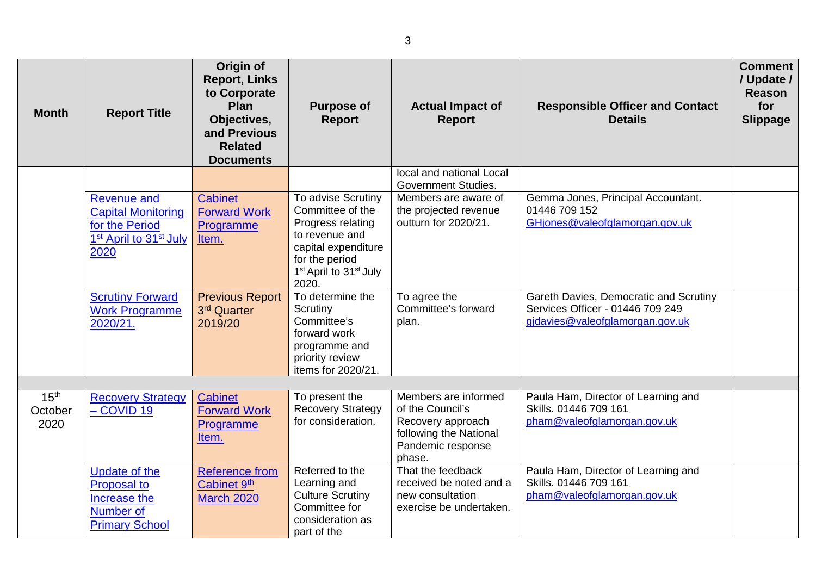| <b>Month</b>     | <b>Report Title</b>                                                                                                         | Origin of<br><b>Report, Links</b><br>to Corporate<br><b>Plan</b><br>Objectives,<br>and Previous<br><b>Related</b><br><b>Documents</b> | <b>Purpose of</b><br><b>Report</b>                                                                                                                                                | <b>Actual Impact of</b><br><b>Report</b>                                                       | <b>Responsible Officer and Contact</b><br><b>Details</b>                                                      | <b>Comment</b><br>/ Update /<br><b>Reason</b><br>for<br><b>Slippage</b> |
|------------------|-----------------------------------------------------------------------------------------------------------------------------|---------------------------------------------------------------------------------------------------------------------------------------|-----------------------------------------------------------------------------------------------------------------------------------------------------------------------------------|------------------------------------------------------------------------------------------------|---------------------------------------------------------------------------------------------------------------|-------------------------------------------------------------------------|
|                  |                                                                                                                             |                                                                                                                                       |                                                                                                                                                                                   | local and national Local<br><b>Government Studies.</b>                                         |                                                                                                               |                                                                         |
|                  | <b>Revenue and</b><br><b>Capital Monitoring</b><br>for the Period<br>1 <sup>st</sup> April to 31 <sup>st</sup> July<br>2020 | Cabinet<br><b>Forward Work</b><br>Programme<br>Item.                                                                                  | To advise Scrutiny<br>Committee of the<br>Progress relating<br>to revenue and<br>capital expenditure<br>for the period<br>1 <sup>st</sup> April to 31 <sup>st</sup> July<br>2020. | Members are aware of<br>the projected revenue<br>outturn for 2020/21.                          | Gemma Jones, Principal Accountant.<br>01446 709 152<br>GHjones@valeofglamorgan.gov.uk                         |                                                                         |
|                  | <b>Scrutiny Forward</b><br><b>Work Programme</b><br>2020/21.                                                                | <b>Previous Report</b><br>3rd Quarter<br>2019/20                                                                                      | To determine the<br>Scrutiny<br>Committee's<br>forward work<br>programme and<br>priority review<br>items for 2020/21.                                                             | To agree the<br>Committee's forward<br>plan.                                                   | Gareth Davies, Democratic and Scrutiny<br>Services Officer - 01446 709 249<br>gidavies@valeofglamorgan.gov.uk |                                                                         |
| 15 <sup>th</sup> | <b>Recovery Strategy</b>                                                                                                    | <b>Cabinet</b>                                                                                                                        | To present the                                                                                                                                                                    | Members are informed                                                                           | Paula Ham, Director of Learning and                                                                           |                                                                         |
| October<br>2020  | $-COVID$ 19                                                                                                                 | <b>Forward Work</b><br>Programme<br>Item.                                                                                             | <b>Recovery Strategy</b><br>for consideration.                                                                                                                                    | of the Council's<br>Recovery approach<br>following the National<br>Pandemic response<br>phase. | Skills. 01446 709 161<br>pham@valeofglamorgan.gov.uk                                                          |                                                                         |
|                  | Update of the<br><b>Proposal to</b><br>Increase the<br><b>Number of</b><br><b>Primary School</b>                            | <b>Reference from</b><br>Cabinet 9th<br><b>March 2020</b>                                                                             | Referred to the<br>Learning and<br><b>Culture Scrutiny</b><br>Committee for<br>consideration as<br>part of the                                                                    | That the feedback<br>received be noted and a<br>new consultation<br>exercise be undertaken.    | Paula Ham, Director of Learning and<br>Skills, 01446 709 161<br>pham@yaleofglamorgan.gov.uk                   |                                                                         |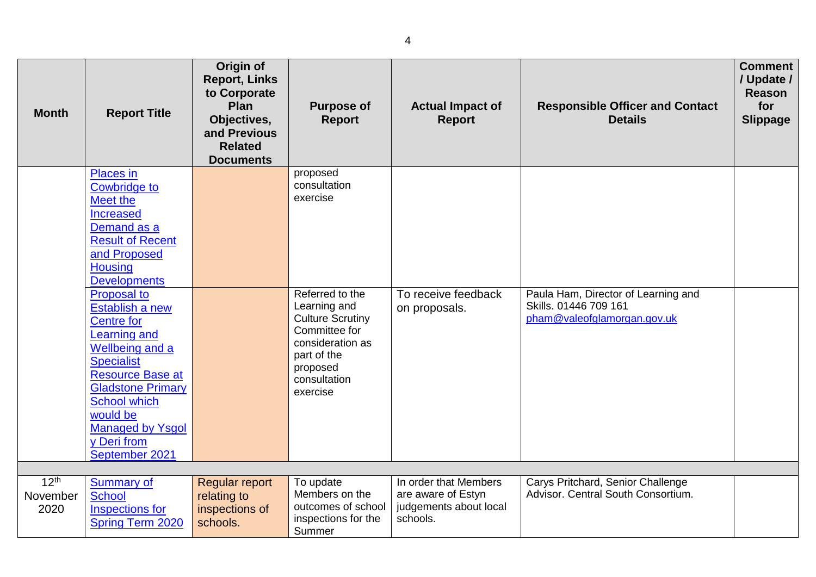| <b>Month</b>                         | <b>Report Title</b>                                                                                                                                                                                                                     | Origin of<br><b>Report, Links</b><br>to Corporate<br>Plan<br>Objectives,<br>and Previous<br><b>Related</b><br><b>Documents</b> | <b>Purpose of</b><br><b>Report</b>                                                                                                  | <b>Actual Impact of</b><br><b>Report</b>                                          | <b>Responsible Officer and Contact</b><br><b>Details</b>                | <b>Comment</b><br>/ Update /<br><b>Reason</b><br>for<br><b>Slippage</b> |
|--------------------------------------|-----------------------------------------------------------------------------------------------------------------------------------------------------------------------------------------------------------------------------------------|--------------------------------------------------------------------------------------------------------------------------------|-------------------------------------------------------------------------------------------------------------------------------------|-----------------------------------------------------------------------------------|-------------------------------------------------------------------------|-------------------------------------------------------------------------|
|                                      | <b>Places</b> in<br><b>Cowbridge to</b><br>Meet the<br><b>Increased</b><br>Demand as a<br><b>Result of Recent</b><br>and Proposed<br><b>Housing</b><br><b>Developments</b><br><b>Proposal to</b>                                        |                                                                                                                                | proposed<br>consultation<br>exercise<br>Referred to the                                                                             | To receive feedback                                                               | Paula Ham, Director of Learning and                                     |                                                                         |
|                                      | Establish a new<br><b>Centre for</b><br><b>Learning and</b><br>Wellbeing and a<br><b>Specialist</b><br><b>Resource Base at</b><br><b>Gladstone Primary</b><br><b>School which</b><br>would be<br><b>Managed by Ysgol</b><br>y Deri from |                                                                                                                                | Learning and<br><b>Culture Scrutiny</b><br>Committee for<br>consideration as<br>part of the<br>proposed<br>consultation<br>exercise | on proposals.                                                                     | Skills. 01446 709 161<br>pham@valeofglamorgan.gov.uk                    |                                                                         |
|                                      | September 2021                                                                                                                                                                                                                          |                                                                                                                                |                                                                                                                                     |                                                                                   |                                                                         |                                                                         |
| 12 <sup>th</sup><br>November<br>2020 | <b>Summary of</b><br><b>School</b><br><b>Inspections for</b><br><b>Spring Term 2020</b>                                                                                                                                                 | <b>Regular report</b><br>relating to<br>inspections of<br>schools.                                                             | To update<br>Members on the<br>outcomes of school<br>inspections for the<br>Summer                                                  | In order that Members<br>are aware of Estyn<br>judgements about local<br>schools. | Carys Pritchard, Senior Challenge<br>Advisor, Central South Consortium. |                                                                         |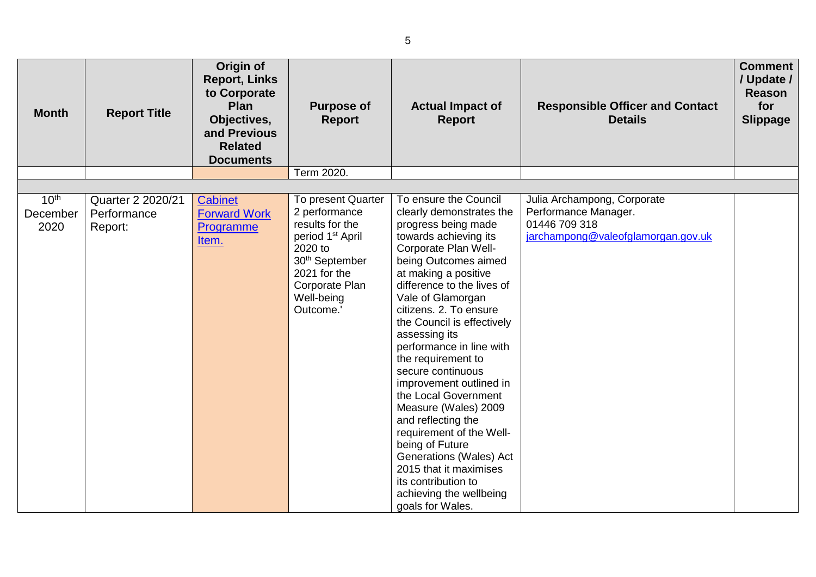| <b>Month</b>                         | <b>Report Title</b>                         | Origin of<br><b>Report, Links</b><br>to Corporate<br>Plan<br>Objectives,<br>and Previous<br><b>Related</b><br><b>Documents</b> | <b>Purpose of</b><br><b>Report</b>                                                                                                                                                           | <b>Actual Impact of</b><br><b>Report</b>                                                                                                                                                                                                                                                                                                                                                                                                                                                                                                                                                                                                                | <b>Responsible Officer and Contact</b><br><b>Details</b>                                                   | <b>Comment</b><br>/ Update /<br><b>Reason</b><br>for<br><b>Slippage</b> |
|--------------------------------------|---------------------------------------------|--------------------------------------------------------------------------------------------------------------------------------|----------------------------------------------------------------------------------------------------------------------------------------------------------------------------------------------|---------------------------------------------------------------------------------------------------------------------------------------------------------------------------------------------------------------------------------------------------------------------------------------------------------------------------------------------------------------------------------------------------------------------------------------------------------------------------------------------------------------------------------------------------------------------------------------------------------------------------------------------------------|------------------------------------------------------------------------------------------------------------|-------------------------------------------------------------------------|
|                                      |                                             |                                                                                                                                | Term 2020.                                                                                                                                                                                   |                                                                                                                                                                                                                                                                                                                                                                                                                                                                                                                                                                                                                                                         |                                                                                                            |                                                                         |
| 10 <sup>th</sup><br>December<br>2020 | Quarter 2 2020/21<br>Performance<br>Report: | <b>Cabinet</b><br><b>Forward Work</b><br>Programme<br><u>Item.</u>                                                             | To present Quarter<br>2 performance<br>results for the<br>period 1 <sup>st</sup> April<br>2020 to<br>30 <sup>th</sup> September<br>2021 for the<br>Corporate Plan<br>Well-being<br>Outcome.' | To ensure the Council<br>clearly demonstrates the<br>progress being made<br>towards achieving its<br>Corporate Plan Well-<br>being Outcomes aimed<br>at making a positive<br>difference to the lives of<br>Vale of Glamorgan<br>citizens. 2. To ensure<br>the Council is effectively<br>assessing its<br>performance in line with<br>the requirement to<br>secure continuous<br>improvement outlined in<br>the Local Government<br>Measure (Wales) 2009<br>and reflecting the<br>requirement of the Well-<br>being of Future<br>Generations (Wales) Act<br>2015 that it maximises<br>its contribution to<br>achieving the wellbeing<br>goals for Wales. | Julia Archampong, Corporate<br>Performance Manager.<br>01446 709 318<br>jarchampong@valeofglamorgan.gov.uk |                                                                         |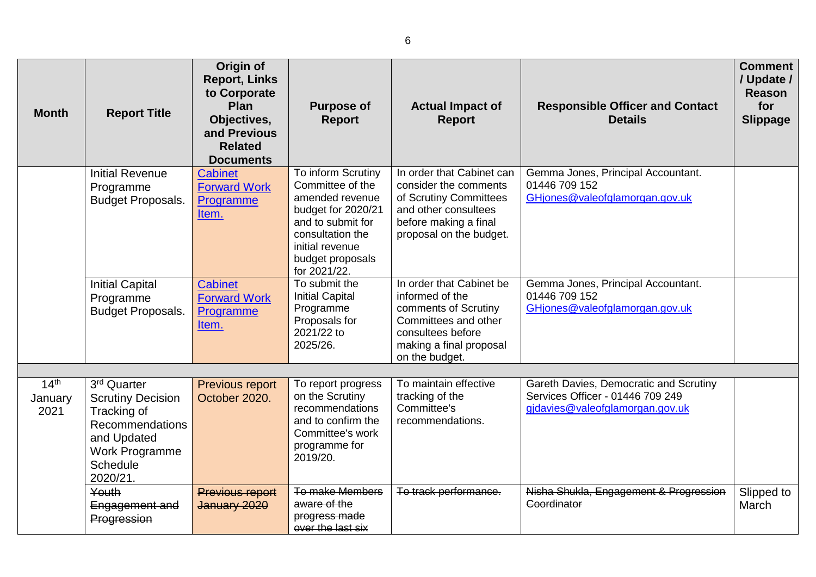| <b>Month</b>                        | <b>Report Title</b>                                                                                                                                          | Origin of<br><b>Report, Links</b><br>to Corporate<br>Plan<br>Objectives,<br>and Previous<br><b>Related</b><br><b>Documents</b> | <b>Purpose of</b><br><b>Report</b>                                                                                                                                              | <b>Actual Impact of</b><br><b>Report</b>                                                                                                                      | <b>Responsible Officer and Contact</b><br><b>Details</b>                                                      | <b>Comment</b><br>/ Update /<br><b>Reason</b><br>for<br><b>Slippage</b> |
|-------------------------------------|--------------------------------------------------------------------------------------------------------------------------------------------------------------|--------------------------------------------------------------------------------------------------------------------------------|---------------------------------------------------------------------------------------------------------------------------------------------------------------------------------|---------------------------------------------------------------------------------------------------------------------------------------------------------------|---------------------------------------------------------------------------------------------------------------|-------------------------------------------------------------------------|
|                                     | <b>Initial Revenue</b><br>Programme<br><b>Budget Proposals.</b>                                                                                              | <b>Cabinet</b><br><b>Forward Work</b><br>Programme<br>Item.                                                                    | To inform Scrutiny<br>Committee of the<br>amended revenue<br>budget for 2020/21<br>and to submit for<br>consultation the<br>initial revenue<br>budget proposals<br>for 2021/22. | In order that Cabinet can<br>consider the comments<br>of Scrutiny Committees<br>and other consultees<br>before making a final<br>proposal on the budget.      | Gemma Jones, Principal Accountant.<br>01446 709 152<br>GHjones@valeofglamorgan.gov.uk                         |                                                                         |
|                                     | <b>Initial Capital</b><br>Programme<br><b>Budget Proposals.</b>                                                                                              | <b>Cabinet</b><br><b>Forward Work</b><br>Programme<br>Item.                                                                    | To submit the<br><b>Initial Capital</b><br>Programme<br>Proposals for<br>2021/22 to<br>2025/26.                                                                                 | In order that Cabinet be<br>informed of the<br>comments of Scrutiny<br>Committees and other<br>consultees before<br>making a final proposal<br>on the budget. | Gemma Jones, Principal Accountant.<br>01446 709 152<br>GHjones@valeofglamorgan.gov.uk                         |                                                                         |
| 14 <sup>th</sup><br>January<br>2021 | 3 <sup>rd</sup> Quarter<br><b>Scrutiny Decision</b><br>Tracking of<br>Recommendations<br>and Updated<br><b>Work Programme</b><br><b>Schedule</b><br>2020/21. | Previous report<br>October 2020.                                                                                               | To report progress<br>on the Scrutiny<br>recommendations<br>and to confirm the<br>Committee's work<br>programme for<br>2019/20.                                                 | To maintain effective<br>tracking of the<br>Committee's<br>recommendations.                                                                                   | Gareth Davies, Democratic and Scrutiny<br>Services Officer - 01446 709 249<br>gjdavies@valeofglamorgan.gov.uk |                                                                         |
|                                     | Youth<br>Engagement and<br>Progression                                                                                                                       | <b>Previous report</b><br>January 2020                                                                                         | <b>To make Members</b><br>aware of the<br>progress made<br>over the last six                                                                                                    | To track performance.                                                                                                                                         | Nisha Shukla, Engagement & Progression<br><b>Coordinator</b>                                                  | Slipped to<br>March                                                     |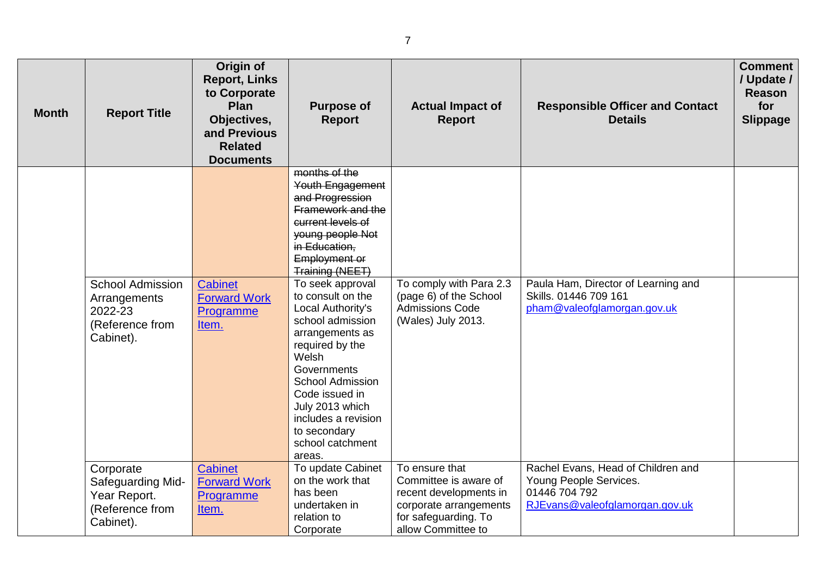| <b>Month</b> | <b>Report Title</b>                                                                | Origin of<br><b>Report, Links</b><br>to Corporate<br>Plan<br>Objectives,<br>and Previous<br><b>Related</b><br><b>Documents</b> | <b>Purpose of</b><br><b>Report</b>                                                                                                                                                                                                                                                                                                                                                                                                                                  | <b>Actual Impact of</b><br><b>Report</b>                                                                                                  | <b>Responsible Officer and Contact</b><br><b>Details</b>                                                        | <b>Comment</b><br>/ Update /<br><b>Reason</b><br>for<br><b>Slippage</b> |
|--------------|------------------------------------------------------------------------------------|--------------------------------------------------------------------------------------------------------------------------------|---------------------------------------------------------------------------------------------------------------------------------------------------------------------------------------------------------------------------------------------------------------------------------------------------------------------------------------------------------------------------------------------------------------------------------------------------------------------|-------------------------------------------------------------------------------------------------------------------------------------------|-----------------------------------------------------------------------------------------------------------------|-------------------------------------------------------------------------|
|              | <b>School Admission</b><br>Arrangements<br>2022-23<br>(Reference from<br>Cabinet). | Cabinet<br><b>Forward Work</b><br>Programme<br>Item.                                                                           | months of the<br>Youth Engagement<br>and Progression<br>Framework and the<br>current levels of<br>young people Not<br>in Education.<br><b>Employment or</b><br>Training (NEET)<br>To seek approval<br>to consult on the<br>Local Authority's<br>school admission<br>arrangements as<br>required by the<br>Welsh<br>Governments<br><b>School Admission</b><br>Code issued in<br>July 2013 which<br>includes a revision<br>to secondary<br>school catchment<br>areas. | To comply with Para 2.3<br>(page 6) of the School<br><b>Admissions Code</b><br>(Wales) July 2013.                                         | Paula Ham, Director of Learning and<br>Skills. 01446 709 161<br>pham@valeofglamorgan.gov.uk                     |                                                                         |
|              | Corporate<br>Safeguarding Mid-<br>Year Report.<br>(Reference from<br>Cabinet).     | <b>Cabinet</b><br><b>Forward Work</b><br>Programme<br>Item.                                                                    | To update Cabinet<br>on the work that<br>has been<br>undertaken in<br>relation to<br>Corporate                                                                                                                                                                                                                                                                                                                                                                      | To ensure that<br>Committee is aware of<br>recent developments in<br>corporate arrangements<br>for safeguarding. To<br>allow Committee to | Rachel Evans, Head of Children and<br>Young People Services.<br>01446 704 792<br>RJEvans@valeofglamorgan.gov.uk |                                                                         |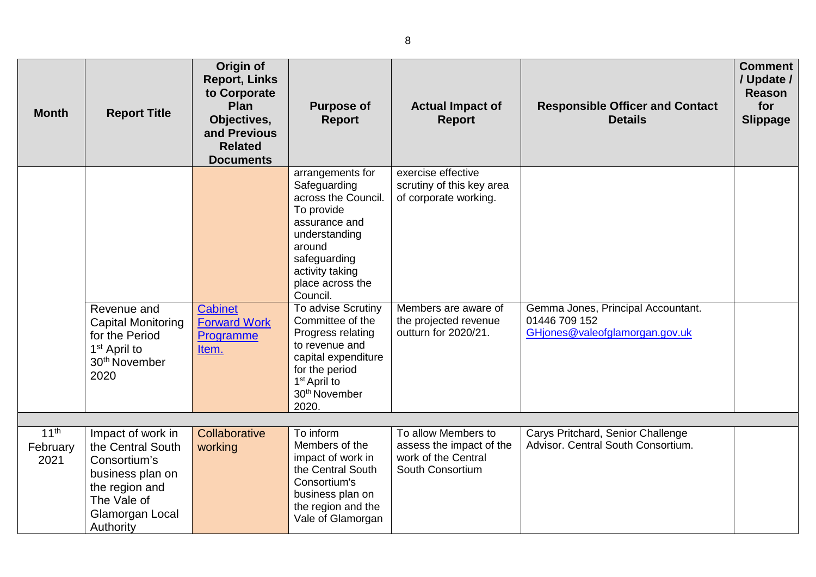| <b>Month</b>     | <b>Report Title</b>                                                                                                         | Origin of<br><b>Report, Links</b><br>to Corporate<br>Plan<br>Objectives,<br>and Previous<br><b>Related</b><br><b>Documents</b> | <b>Purpose of</b><br><b>Report</b>                                                                                                                                                       | <b>Actual Impact of</b><br><b>Report</b>                                 | <b>Responsible Officer and Contact</b><br><b>Details</b>                              | <b>Comment</b><br>/ Update /<br><b>Reason</b><br>for<br><b>Slippage</b> |
|------------------|-----------------------------------------------------------------------------------------------------------------------------|--------------------------------------------------------------------------------------------------------------------------------|------------------------------------------------------------------------------------------------------------------------------------------------------------------------------------------|--------------------------------------------------------------------------|---------------------------------------------------------------------------------------|-------------------------------------------------------------------------|
|                  |                                                                                                                             |                                                                                                                                | arrangements for<br>Safeguarding<br>across the Council.<br>To provide<br>assurance and<br>understanding<br>around<br>safeguarding<br>activity taking<br>place across the<br>Council.     | exercise effective<br>scrutiny of this key area<br>of corporate working. |                                                                                       |                                                                         |
|                  | Revenue and<br><b>Capital Monitoring</b><br>for the Period<br>1 <sup>st</sup> April to<br>30 <sup>th</sup> November<br>2020 | Cabinet<br><b>Forward Work</b><br>Programme<br>Item.                                                                           | To advise Scrutiny<br>Committee of the<br>Progress relating<br>to revenue and<br>capital expenditure<br>for the period<br>1 <sup>st</sup> April to<br>30 <sup>th</sup> November<br>2020. | Members are aware of<br>the projected revenue<br>outturn for 2020/21.    | Gemma Jones, Principal Accountant.<br>01446 709 152<br>GHjones@valeofglamorgan.gov.uk |                                                                         |
| 11 <sup>th</sup> | Impact of work in                                                                                                           | Collaborative                                                                                                                  | To inform                                                                                                                                                                                | To allow Members to                                                      | Carys Pritchard, Senior Challenge                                                     |                                                                         |
| February<br>2021 | the Central South<br>Consortium's<br>business plan on<br>the region and<br>The Vale of<br>Glamorgan Local<br>Authority      | working                                                                                                                        | Members of the<br>impact of work in<br>the Central South<br>Consortium's<br>business plan on<br>the region and the<br>Vale of Glamorgan                                                  | assess the impact of the<br>work of the Central<br>South Consortium      | Advisor, Central South Consortium.                                                    |                                                                         |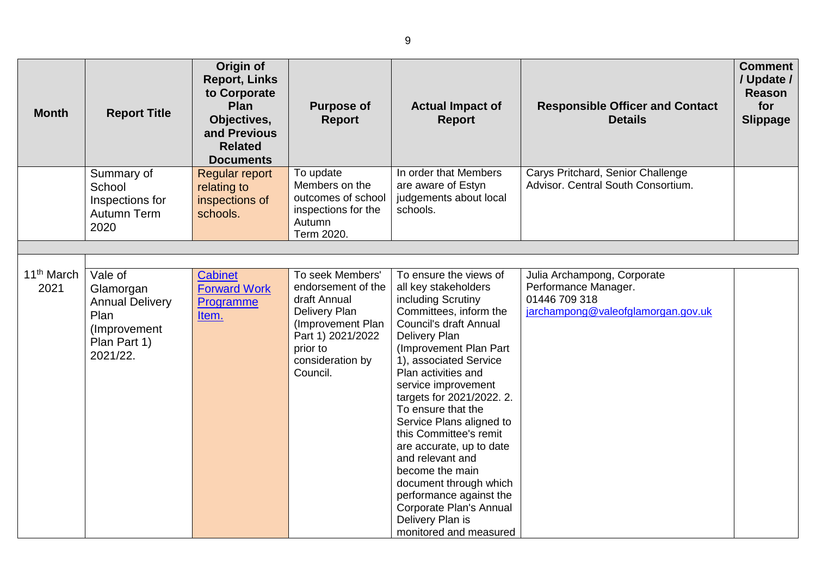| <b>Month</b>                   | <b>Report Title</b>                                                                                | Origin of<br><b>Report, Links</b><br>to Corporate<br><b>Plan</b><br>Objectives,<br>and Previous<br><b>Related</b><br><b>Documents</b> | <b>Purpose of</b><br><b>Report</b>                                                                                                                            | <b>Actual Impact of</b><br><b>Report</b>                                                                                                                                                                                                                                                                                                                                                                                                                                                                                                              | <b>Responsible Officer and Contact</b><br><b>Details</b>                                                   | <b>Comment</b><br>/ Update /<br><b>Reason</b><br>for<br><b>Slippage</b> |
|--------------------------------|----------------------------------------------------------------------------------------------------|---------------------------------------------------------------------------------------------------------------------------------------|---------------------------------------------------------------------------------------------------------------------------------------------------------------|-------------------------------------------------------------------------------------------------------------------------------------------------------------------------------------------------------------------------------------------------------------------------------------------------------------------------------------------------------------------------------------------------------------------------------------------------------------------------------------------------------------------------------------------------------|------------------------------------------------------------------------------------------------------------|-------------------------------------------------------------------------|
|                                | Summary of<br>School<br>Inspections for<br>Autumn Term<br>2020                                     | <b>Regular report</b><br>relating to<br>inspections of<br>schools.                                                                    | To update<br>Members on the<br>outcomes of school<br>inspections for the<br>Autumn<br>Term 2020.                                                              | In order that Members<br>are aware of Estyn<br>judgements about local<br>schools.                                                                                                                                                                                                                                                                                                                                                                                                                                                                     | Carys Pritchard, Senior Challenge<br>Advisor, Central South Consortium.                                    |                                                                         |
|                                |                                                                                                    |                                                                                                                                       |                                                                                                                                                               |                                                                                                                                                                                                                                                                                                                                                                                                                                                                                                                                                       |                                                                                                            |                                                                         |
| 11 <sup>th</sup> March<br>2021 | Vale of<br>Glamorgan<br><b>Annual Delivery</b><br>Plan<br>(Improvement<br>Plan Part 1)<br>2021/22. | <b>Cabinet</b><br><b>Forward Work</b><br>Programme<br>Item.                                                                           | To seek Members'<br>endorsement of the<br>draft Annual<br>Delivery Plan<br>(Improvement Plan<br>Part 1) 2021/2022<br>prior to<br>consideration by<br>Council. | To ensure the views of<br>all key stakeholders<br>including Scrutiny<br>Committees, inform the<br>Council's draft Annual<br>Delivery Plan<br>(Improvement Plan Part<br>1), associated Service<br>Plan activities and<br>service improvement<br>targets for 2021/2022. 2.<br>To ensure that the<br>Service Plans aligned to<br>this Committee's remit<br>are accurate, up to date<br>and relevant and<br>become the main<br>document through which<br>performance against the<br>Corporate Plan's Annual<br>Delivery Plan is<br>monitored and measured | Julia Archampong, Corporate<br>Performance Manager.<br>01446 709 318<br>jarchampong@valeofglamorgan.gov.uk |                                                                         |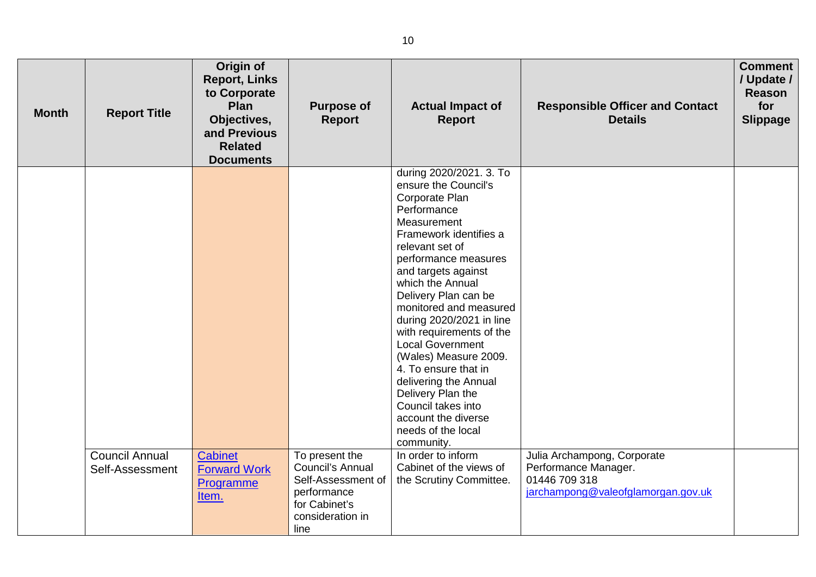| <b>Month</b> | <b>Report Title</b>                      | Origin of<br><b>Report, Links</b><br>to Corporate<br>Plan<br>Objectives,<br>and Previous<br><b>Related</b><br><b>Documents</b> | <b>Purpose of</b><br><b>Report</b>                                                                                   | <b>Actual Impact of</b><br><b>Report</b>                                                                                                                                                                                                                                                                                                                                                                                                                                                         | <b>Responsible Officer and Contact</b><br><b>Details</b>                                                   | <b>Comment</b><br>/ Update /<br>Reason<br>for<br><b>Slippage</b> |
|--------------|------------------------------------------|--------------------------------------------------------------------------------------------------------------------------------|----------------------------------------------------------------------------------------------------------------------|--------------------------------------------------------------------------------------------------------------------------------------------------------------------------------------------------------------------------------------------------------------------------------------------------------------------------------------------------------------------------------------------------------------------------------------------------------------------------------------------------|------------------------------------------------------------------------------------------------------------|------------------------------------------------------------------|
|              |                                          |                                                                                                                                |                                                                                                                      | during 2020/2021. 3. To<br>ensure the Council's<br>Corporate Plan<br>Performance<br>Measurement<br>Framework identifies a<br>relevant set of<br>performance measures<br>and targets against<br>which the Annual<br>Delivery Plan can be<br>monitored and measured<br>during 2020/2021 in line<br>with requirements of the<br><b>Local Government</b><br>(Wales) Measure 2009.<br>4. To ensure that in<br>delivering the Annual<br>Delivery Plan the<br>Council takes into<br>account the diverse |                                                                                                            |                                                                  |
|              |                                          |                                                                                                                                |                                                                                                                      | needs of the local<br>community.                                                                                                                                                                                                                                                                                                                                                                                                                                                                 |                                                                                                            |                                                                  |
|              | <b>Council Annual</b><br>Self-Assessment | Cabinet<br><b>Forward Work</b><br>Programme<br>Item.                                                                           | To present the<br>Council's Annual<br>Self-Assessment of<br>performance<br>for Cabinet's<br>consideration in<br>line | In order to inform<br>Cabinet of the views of<br>the Scrutiny Committee.                                                                                                                                                                                                                                                                                                                                                                                                                         | Julia Archampong, Corporate<br>Performance Manager.<br>01446 709 318<br>jarchampong@valeofglamorgan.gov.uk |                                                                  |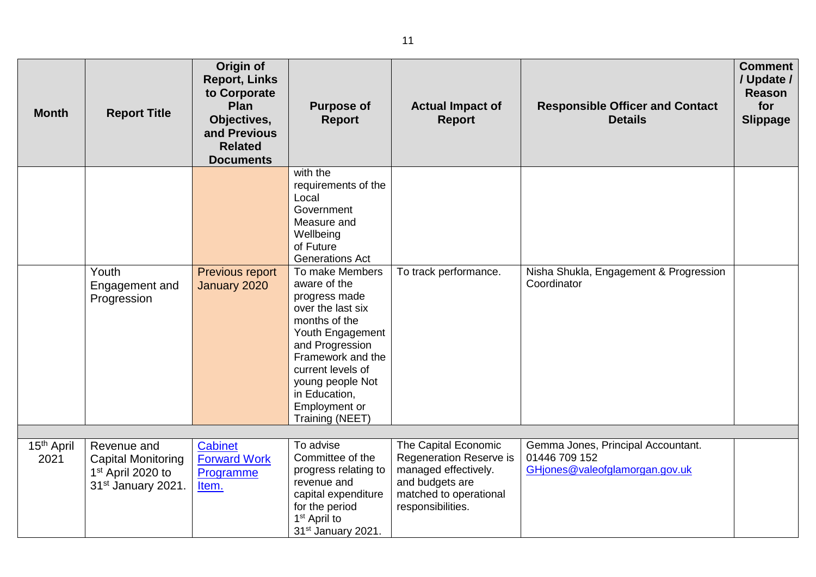| <b>Month</b>                   | <b>Report Title</b>                                                                             | Origin of<br><b>Report, Links</b><br>to Corporate<br>Plan<br>Objectives,<br>and Previous<br><b>Related</b><br><b>Documents</b> | <b>Purpose of</b><br><b>Report</b>                                                                                                                                                                                                               | <b>Actual Impact of</b><br><b>Report</b>                                                                                                  | <b>Responsible Officer and Contact</b><br><b>Details</b>                              | <b>Comment</b><br>/ Update /<br>Reason<br>for<br><b>Slippage</b> |
|--------------------------------|-------------------------------------------------------------------------------------------------|--------------------------------------------------------------------------------------------------------------------------------|--------------------------------------------------------------------------------------------------------------------------------------------------------------------------------------------------------------------------------------------------|-------------------------------------------------------------------------------------------------------------------------------------------|---------------------------------------------------------------------------------------|------------------------------------------------------------------|
|                                |                                                                                                 |                                                                                                                                | with the<br>requirements of the<br>Local<br>Government<br>Measure and<br>Wellbeing<br>of Future<br><b>Generations Act</b>                                                                                                                        |                                                                                                                                           |                                                                                       |                                                                  |
|                                | Youth<br>Engagement and<br>Progression                                                          | <b>Previous report</b><br>January 2020                                                                                         | To make Members<br>aware of the<br>progress made<br>over the last six<br>months of the<br>Youth Engagement<br>and Progression<br>Framework and the<br>current levels of<br>young people Not<br>in Education,<br>Employment or<br>Training (NEET) | To track performance.                                                                                                                     | Nisha Shukla, Engagement & Progression<br>Coordinator                                 |                                                                  |
|                                |                                                                                                 |                                                                                                                                | To advise                                                                                                                                                                                                                                        |                                                                                                                                           |                                                                                       |                                                                  |
| 15 <sup>th</sup> April<br>2021 | Revenue and<br><b>Capital Monitoring</b><br>1 <sup>st</sup> April 2020 to<br>31st January 2021. | <b>Cabinet</b><br><b>Forward Work</b><br>Programme<br>Item.                                                                    | Committee of the<br>progress relating to<br>revenue and<br>capital expenditure<br>for the period<br>1 <sup>st</sup> April to<br>31 <sup>st</sup> January 2021.                                                                                   | The Capital Economic<br>Regeneration Reserve is<br>managed effectively.<br>and budgets are<br>matched to operational<br>responsibilities. | Gemma Jones, Principal Accountant.<br>01446 709 152<br>GHjones@valeofglamorgan.gov.uk |                                                                  |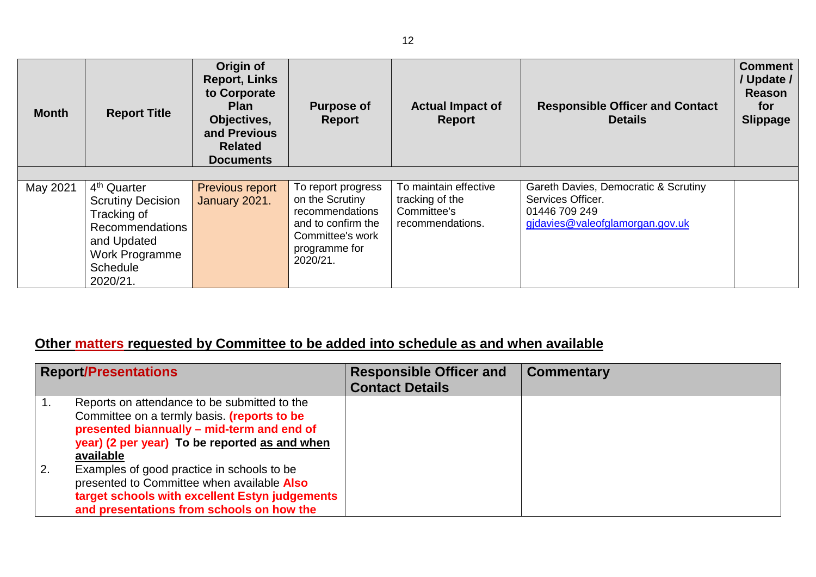| <b>Month</b> | <b>Report Title</b>                                                                                                                                          | Origin of<br><b>Report, Links</b><br>to Corporate<br><b>Plan</b><br>Objectives,<br>and Previous<br><b>Related</b><br><b>Documents</b> | <b>Purpose of</b><br>Report                                                                                                     | <b>Actual Impact of</b><br><b>Report</b>                                    | <b>Responsible Officer and Contact</b><br><b>Details</b>                                                      | <b>Comment</b><br>/ Update /<br><b>Reason</b><br>for<br><b>Slippage</b> |
|--------------|--------------------------------------------------------------------------------------------------------------------------------------------------------------|---------------------------------------------------------------------------------------------------------------------------------------|---------------------------------------------------------------------------------------------------------------------------------|-----------------------------------------------------------------------------|---------------------------------------------------------------------------------------------------------------|-------------------------------------------------------------------------|
| May 2021     | 4 <sup>th</sup> Quarter<br><b>Scrutiny Decision</b><br>Tracking of<br><b>Recommendations</b><br>and Updated<br>Work Programme<br><b>Schedule</b><br>2020/21. | Previous report<br>January 2021.                                                                                                      | To report progress<br>on the Scrutiny<br>recommendations<br>and to confirm the<br>Committee's work<br>programme for<br>2020/21. | To maintain effective<br>tracking of the<br>Committee's<br>recommendations. | Gareth Davies, Democratic & Scrutiny<br>Services Officer.<br>01446 709 249<br>gidavies@valeofglamorgan.gov.uk |                                                                         |

## **Other matters requested by Committee to be added into schedule as and when available**

|    | <b>Report/Presentations</b>                                                                                                                                                                             | <b>Responsible Officer and</b><br><b>Contact Details</b> | <b>Commentary</b> |
|----|---------------------------------------------------------------------------------------------------------------------------------------------------------------------------------------------------------|----------------------------------------------------------|-------------------|
|    | Reports on attendance to be submitted to the<br>Committee on a termly basis. (reports to be<br>presented biannually - mid-term and end of<br>year) (2 per year) To be reported as and when<br>available |                                                          |                   |
| 2. | Examples of good practice in schools to be<br>presented to Committee when available Also<br>target schools with excellent Estyn judgements<br>and presentations from schools on how the                 |                                                          |                   |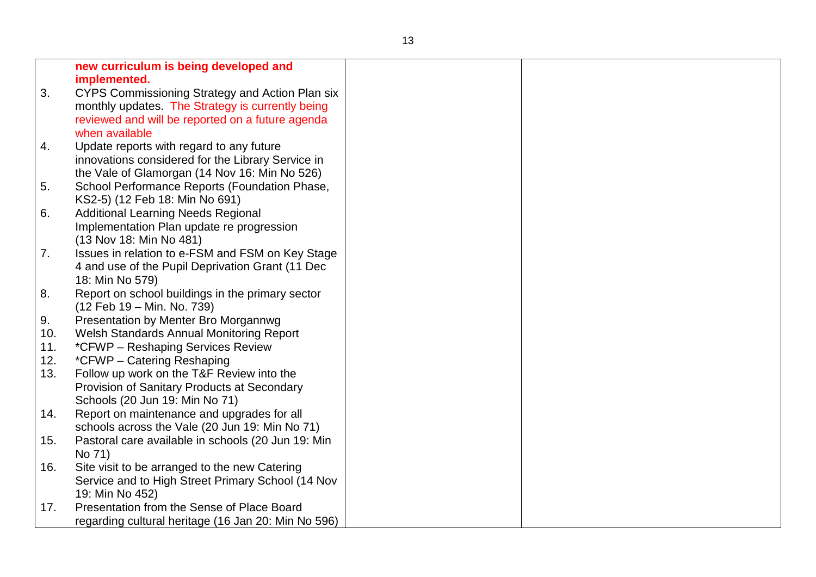|     | new curriculum is being developed and               |  |
|-----|-----------------------------------------------------|--|
|     | implemented.                                        |  |
| 3.  | CYPS Commissioning Strategy and Action Plan six     |  |
|     | monthly updates. The Strategy is currently being    |  |
|     | reviewed and will be reported on a future agenda    |  |
|     | when available                                      |  |
| 4.  | Update reports with regard to any future            |  |
|     | innovations considered for the Library Service in   |  |
|     | the Vale of Glamorgan (14 Nov 16: Min No 526)       |  |
| 5.  | School Performance Reports (Foundation Phase,       |  |
|     | KS2-5) (12 Feb 18: Min No 691)                      |  |
| 6.  | <b>Additional Learning Needs Regional</b>           |  |
|     | Implementation Plan update re progression           |  |
|     | (13 Nov 18: Min No 481)                             |  |
| 7.  | Issues in relation to e-FSM and FSM on Key Stage    |  |
|     | 4 and use of the Pupil Deprivation Grant (11 Dec    |  |
|     | 18: Min No 579)                                     |  |
| 8.  | Report on school buildings in the primary sector    |  |
|     | (12 Feb 19 – Min. No. 739)                          |  |
| 9.  | Presentation by Menter Bro Morgannwg                |  |
| 10. | Welsh Standards Annual Monitoring Report            |  |
| 11. | *CFWP - Reshaping Services Review                   |  |
| 12. | *CFWP - Catering Reshaping                          |  |
| 13. | Follow up work on the T&F Review into the           |  |
|     | Provision of Sanitary Products at Secondary         |  |
|     | Schools (20 Jun 19: Min No 71)                      |  |
| 14. | Report on maintenance and upgrades for all          |  |
|     | schools across the Vale (20 Jun 19: Min No 71)      |  |
| 15. | Pastoral care available in schools (20 Jun 19: Min  |  |
|     | No 71)                                              |  |
| 16. | Site visit to be arranged to the new Catering       |  |
|     | Service and to High Street Primary School (14 Nov   |  |
|     | 19: Min No 452)                                     |  |
| 17. | Presentation from the Sense of Place Board          |  |
|     | regarding cultural heritage (16 Jan 20: Min No 596) |  |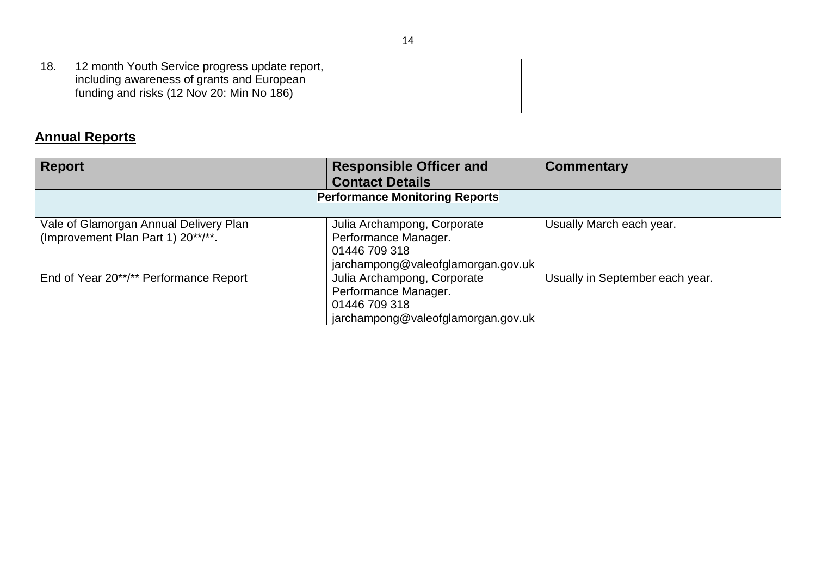| 18. | 12 month Youth Service progress update report,                                          |  |
|-----|-----------------------------------------------------------------------------------------|--|
|     | including awareness of grants and European<br>funding and risks (12 Nov 20: Min No 186) |  |
|     |                                                                                         |  |

## **Annual Reports**

| <b>Report</b>                                                                | <b>Responsible Officer and</b><br><b>Contact Details</b>                                                   | <b>Commentary</b>               |  |
|------------------------------------------------------------------------------|------------------------------------------------------------------------------------------------------------|---------------------------------|--|
| <b>Performance Monitoring Reports</b>                                        |                                                                                                            |                                 |  |
| Vale of Glamorgan Annual Delivery Plan<br>(Improvement Plan Part 1) 20**/**. | Julia Archampong, Corporate<br>Performance Manager.<br>01446 709 318<br>jarchampong@valeofglamorgan.gov.uk | Usually March each year.        |  |
| End of Year 20**/** Performance Report                                       | Julia Archampong, Corporate<br>Performance Manager.<br>01446 709 318<br>jarchampong@valeofglamorgan.gov.uk | Usually in September each year. |  |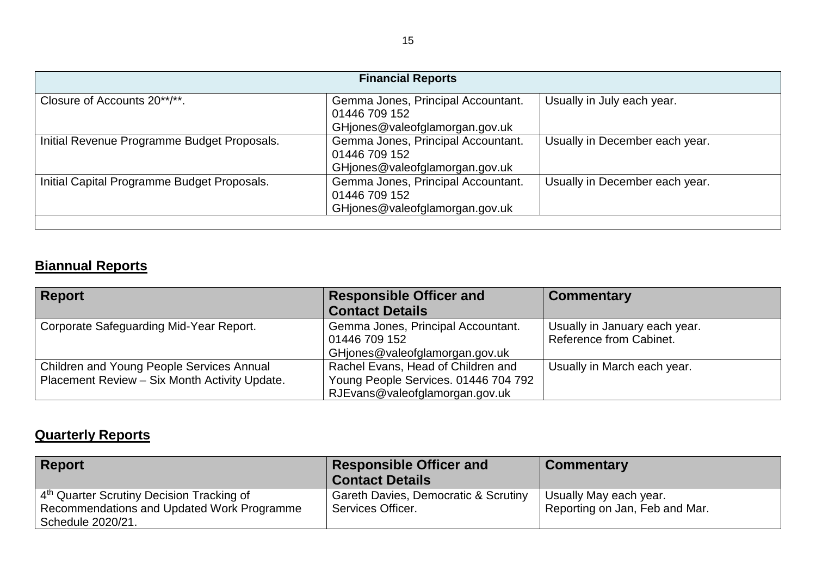| <b>Financial Reports</b>                    |                                                                                       |                                |  |
|---------------------------------------------|---------------------------------------------------------------------------------------|--------------------------------|--|
| Closure of Accounts 20**/**.                | Gemma Jones, Principal Accountant.<br>01446 709 152<br>GHjones@valeofglamorgan.gov.uk | Usually in July each year.     |  |
| Initial Revenue Programme Budget Proposals. | Gemma Jones, Principal Accountant.<br>01446 709 152<br>GHjones@valeofglamorgan.gov.uk | Usually in December each year. |  |
| Initial Capital Programme Budget Proposals. | Gemma Jones, Principal Accountant.<br>01446 709 152<br>GHjones@valeofglamorgan.gov.uk | Usually in December each year. |  |

## **Biannual Reports**

| <b>Report</b>                                 | <b>Responsible Officer and</b>       | <b>Commentary</b>             |
|-----------------------------------------------|--------------------------------------|-------------------------------|
|                                               | <b>Contact Details</b>               |                               |
| Corporate Safeguarding Mid-Year Report.       | Gemma Jones, Principal Accountant.   | Usually in January each year. |
|                                               | 01446 709 152                        | Reference from Cabinet.       |
|                                               | GHjones@valeofglamorgan.gov.uk       |                               |
| Children and Young People Services Annual     | Rachel Evans, Head of Children and   | Usually in March each year.   |
| Placement Review - Six Month Activity Update. | Young People Services. 01446 704 792 |                               |
|                                               | RJEvans@valeofglamorgan.gov.uk       |                               |

## **Quarterly Reports**

| <b>Report</b>                                                                                                            | <b>Responsible Officer and</b><br><b>Contact Details</b>  | <b>Commentary</b>                                        |
|--------------------------------------------------------------------------------------------------------------------------|-----------------------------------------------------------|----------------------------------------------------------|
| 4 <sup>th</sup> Quarter Scrutiny Decision Tracking of<br>Recommendations and Updated Work Programme<br>Schedule 2020/21. | Gareth Davies, Democratic & Scrutiny<br>Services Officer. | Usually May each year.<br>Reporting on Jan, Feb and Mar. |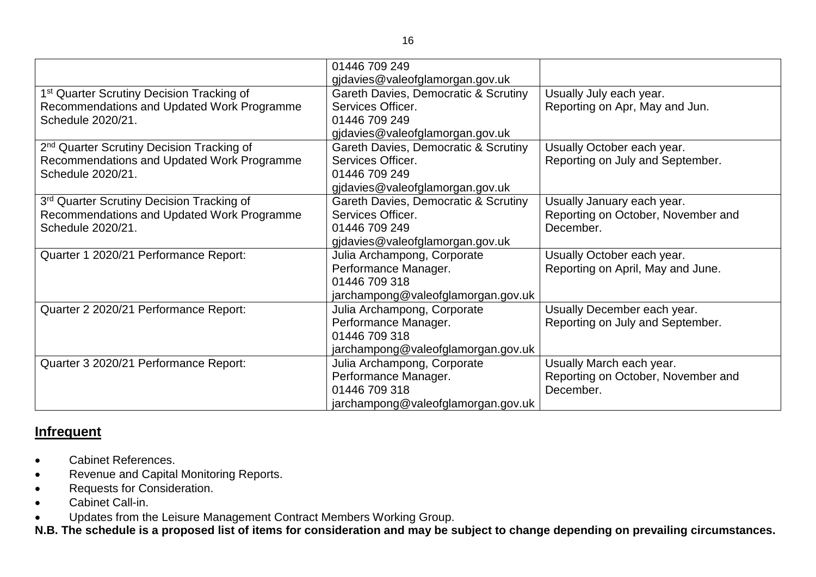|                                                       | 01446 709 249                        |                                    |
|-------------------------------------------------------|--------------------------------------|------------------------------------|
|                                                       | gjdavies@valeofglamorgan.gov.uk      |                                    |
| 1 <sup>st</sup> Quarter Scrutiny Decision Tracking of | Gareth Davies, Democratic & Scrutiny | Usually July each year.            |
| Recommendations and Updated Work Programme            | Services Officer.                    | Reporting on Apr, May and Jun.     |
| Schedule 2020/21.                                     | 01446 709 249                        |                                    |
|                                                       | gidavies@valeofglamorgan.gov.uk      |                                    |
| 2 <sup>nd</sup> Quarter Scrutiny Decision Tracking of | Gareth Davies, Democratic & Scrutiny | Usually October each year.         |
| Recommendations and Updated Work Programme            | Services Officer.                    | Reporting on July and September.   |
| Schedule 2020/21.                                     | 01446 709 249                        |                                    |
|                                                       | gjdavies@valeofglamorgan.gov.uk      |                                    |
| 3rd Quarter Scrutiny Decision Tracking of             | Gareth Davies, Democratic & Scrutiny | Usually January each year.         |
| Recommendations and Updated Work Programme            | Services Officer.                    | Reporting on October, November and |
| Schedule 2020/21.                                     | 01446 709 249                        | December.                          |
|                                                       | gjdavies@valeofglamorgan.gov.uk      |                                    |
| Quarter 1 2020/21 Performance Report:                 | Julia Archampong, Corporate          | Usually October each year.         |
|                                                       | Performance Manager.                 | Reporting on April, May and June.  |
|                                                       | 01446 709 318                        |                                    |
|                                                       | jarchampong@valeofglamorgan.gov.uk   |                                    |
| Quarter 2 2020/21 Performance Report:                 | Julia Archampong, Corporate          | Usually December each year.        |
|                                                       | Performance Manager.                 | Reporting on July and September.   |
|                                                       | 01446 709 318                        |                                    |
|                                                       | jarchampong@valeofglamorgan.gov.uk   |                                    |
| Quarter 3 2020/21 Performance Report:                 | Julia Archampong, Corporate          | Usually March each year.           |
|                                                       | Performance Manager.                 | Reporting on October, November and |
|                                                       | 01446 709 318                        | December.                          |
|                                                       | jarchampong@valeofglamorgan.gov.uk   |                                    |

### **Infrequent**

- Cabinet References.
- Revenue and Capital Monitoring Reports.
- Requests for Consideration.
- Cabinet Call-in.
- Updates from the Leisure Management Contract Members Working Group.

**N.B. The schedule is a proposed list of items for consideration and may be subject to change depending on prevailing circumstances.**